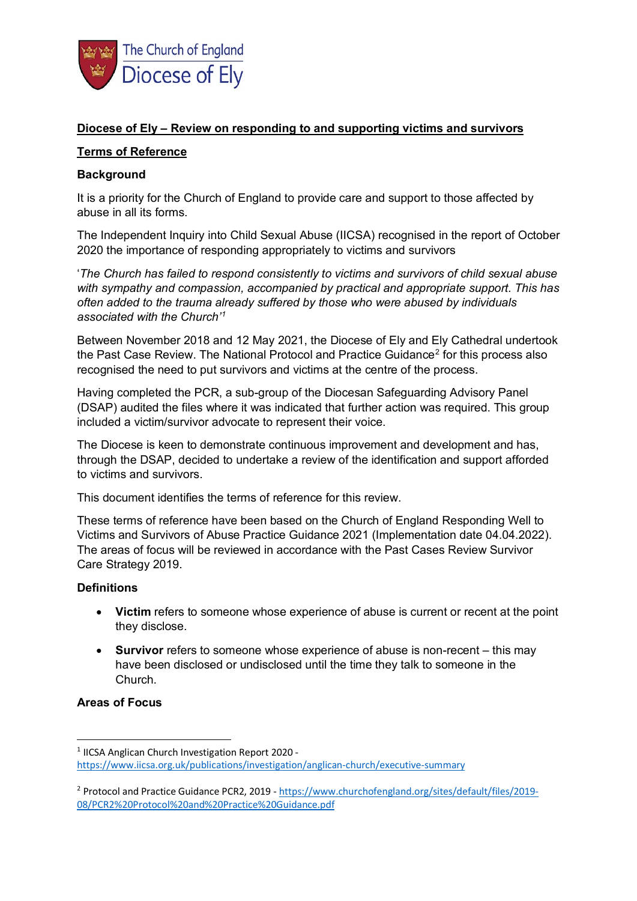

# **Diocese of Ely – Review on responding to and supporting victims and survivors**

### **Terms of Reference**

### **Background**

It is a priority for the Church of England to provide care and support to those affected by abuse in all its forms.

The Independent Inquiry into Child Sexual Abuse (IICSA) recognised in the report of October 2020 the importance of responding appropriately to victims and survivors

'*The Church has failed to respond consistently to victims and survivors of child sexual abuse with sympathy and compassion, accompanied by practical and appropriate support. This has often added to the trauma already suffered by those who were abused by individuals associated with the Church'[1](#page-0-0)*

Between November 2018 and 12 May 2021, the Diocese of Ely and Ely Cathedral undertook the Past Case Review. The National Protocol and Practice Guidance<sup>[2](#page-0-1)</sup> for this process also recognised the need to put survivors and victims at the centre of the process.

Having completed the PCR, a sub-group of the Diocesan Safeguarding Advisory Panel (DSAP) audited the files where it was indicated that further action was required. This group included a victim/survivor advocate to represent their voice.

The Diocese is keen to demonstrate continuous improvement and development and has, through the DSAP, decided to undertake a review of the identification and support afforded to victims and survivors.

This document identifies the terms of reference for this review.

These terms of reference have been based on the Church of England Responding Well to Victims and Survivors of Abuse Practice Guidance 2021 (Implementation date 04.04.2022). The areas of focus will be reviewed in accordance with the Past Cases Review Survivor Care Strategy 2019.

# **Definitions**

- **Victim** refers to someone whose experience of abuse is current or recent at the point they disclose.
- **Survivor** refers to someone whose experience of abuse is non-recent this may have been disclosed or undisclosed until the time they talk to someone in the Church.

# **Areas of Focus**

<span id="page-0-0"></span><sup>&</sup>lt;sup>1</sup> IICSA Anglican Church Investigation Report 2020 <https://www.iicsa.org.uk/publications/investigation/anglican-church/executive-summary>

<span id="page-0-1"></span><sup>2</sup> Protocol and Practice Guidance PCR2, 2019 - [https://www.churchofengland.org/sites/default/files/2019-](https://www.churchofengland.org/sites/default/files/2019-08/PCR2%20Protocol%20and%20Practice%20Guidance.pdf) [08/PCR2%20Protocol%20and%20Practice%20Guidance.pdf](https://www.churchofengland.org/sites/default/files/2019-08/PCR2%20Protocol%20and%20Practice%20Guidance.pdf)